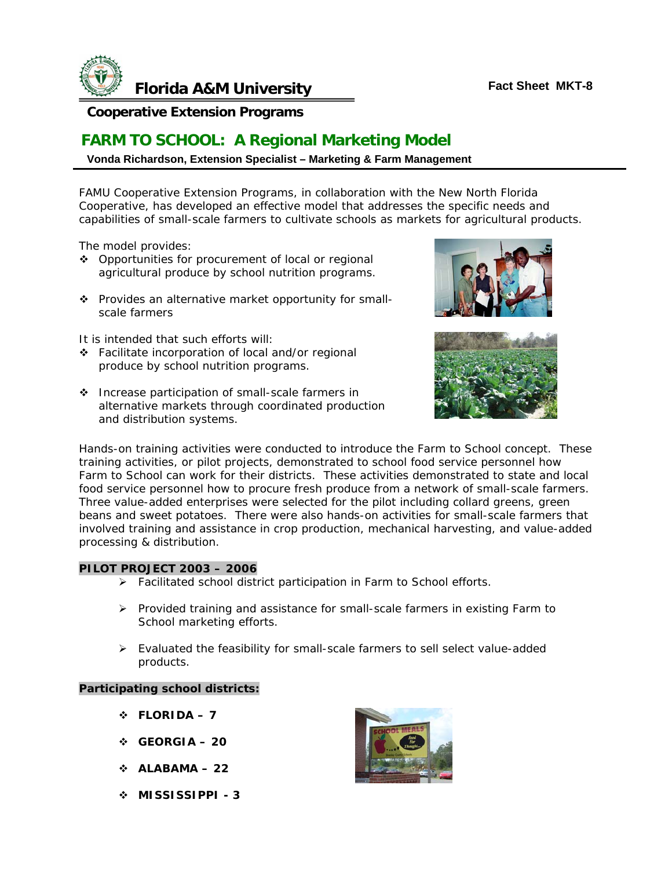

## **Cooperative Extension Programs**

# **FARM TO SCHOOL: A Regional Marketing Model**

### **Vonda Richardson, Extension Specialist – Marketing & Farm Management**

FAMU Cooperative Extension Programs, in collaboration with the New North Florida Cooperative, has developed an effective model that addresses the specific needs and capabilities of small-scale farmers to cultivate schools as markets for agricultural products.

The model provides:

- Opportunities for procurement of local or regional agricultural produce by school nutrition programs.
- \* Provides an alternative market opportunity for smallscale farmers

It is intended that such efforts will:

- Facilitate incorporation of local and/or regional produce by school nutrition programs.
- ◆ Increase participation of small-scale farmers in alternative markets through coordinated production and distribution systems.





Hands-on training activities were conducted to introduce the Farm to School concept. These training activities, or pilot projects, demonstrated to school food service personnel how Farm to School can work for their districts. These activities demonstrated to state and local food service personnel how to procure fresh produce from a network of small-scale farmers. Three value-added enterprises were selected for the pilot including collard greens, green beans and sweet potatoes. There were also hands-on activities for small-scale farmers that involved training and assistance in crop production, mechanical harvesting, and value-added processing & distribution.

#### **PILOT PROJECT 2003 – 2006**

- ¾ Facilitated school district participation in Farm to School efforts.
- $\triangleright$  Provided training and assistance for small-scale farmers in existing Farm to School marketing efforts.
- $\triangleright$  Evaluated the feasibility for small-scale farmers to sell select value-added products.

#### **Participating school districts:**

- $\div$  FLORIDA 7
- **GEORGIA 20**
- $\div$  ALABAMA 22
- **MISSISSIPPI 3**